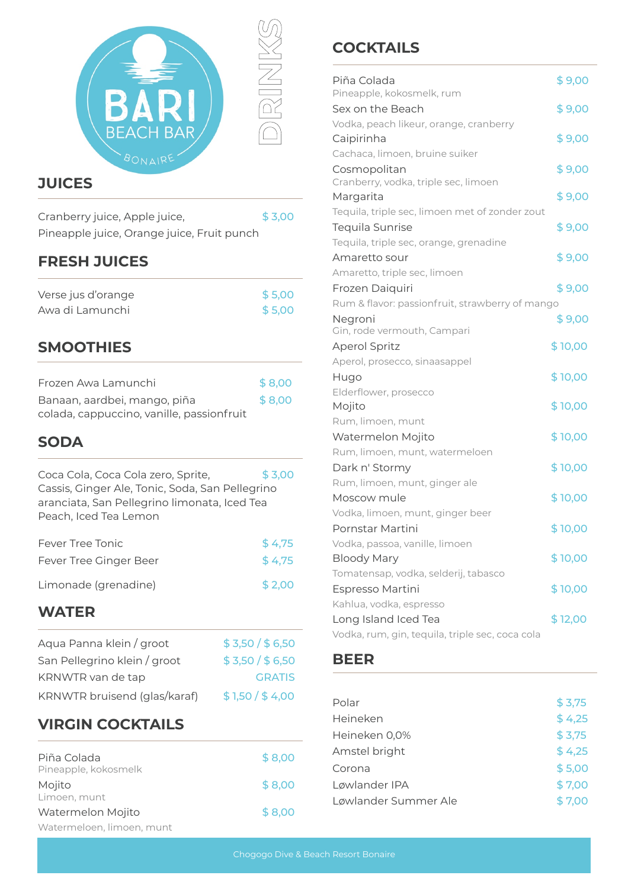

#### **JUICES**

| Cranberry juice, Apple juice,              | \$3,00 |
|--------------------------------------------|--------|
| Pineapple juice, Orange juice, Fruit punch |        |

## **FRESH JUICES**

| Verse jus d'orange | \$5,00 |
|--------------------|--------|
| Awa di Lamunchi    | \$5,00 |

## **SMOOTHIES**

| Frozen Awa Lamunchi                       | \$8,00 |
|-------------------------------------------|--------|
| Banaan, aardbei, mango, piña              | \$8,00 |
| colada, cappuccino, vanille, passionfruit |        |

#### **SODA**

| Coca Cola, Coca Cola zero, Sprite,<br>Cassis, Ginger Ale, Tonic, Soda, San Pellegrino<br>aranciata, San Pellegrino limonata, Iced Tea<br>Peach, Iced Tea Lemon | \$3,00                     |
|----------------------------------------------------------------------------------------------------------------------------------------------------------------|----------------------------|
| <b>Fever Tree Tonic</b><br>Fever Tree Ginger Beer<br>Limonade (grenadine)                                                                                      | \$4,75<br>\$4,75<br>\$2,00 |
| WATER                                                                                                                                                          |                            |

| Aqua Panna klein / groot     | \$3,50/\$6,50   |
|------------------------------|-----------------|
| San Pellegrino klein / groot | \$3,50/\$6,50   |
| KRNWTR van de tap            | <b>GRATIS</b>   |
| KRNWTR bruisend (glas/karaf) | \$1,50 / \$4,00 |

## **VIRGIN COCKTAILS**

| Piña Colada<br>Pineapple, kokosmelk | \$8,00 |
|-------------------------------------|--------|
| Mojito<br>Limoen, munt              | \$8,00 |
| Watermelon Mojito                   | \$8,00 |
| Watermeloen, limoen, munt           |        |

# **COCKTAILS**

| Piña Colada                                           | \$9,00  |
|-------------------------------------------------------|---------|
| Pineapple, kokosmelk, rum                             |         |
| Sex on the Beach                                      | \$9,00  |
| Vodka, peach likeur, orange, cranberry                | \$9,00  |
| Caipirinha<br>Cachaca, limoen, bruine suiker          |         |
| Cosmopolitan                                          | \$9,00  |
| Cranberry, vodka, triple sec, limoen                  |         |
| Margarita                                             | \$9,00  |
| Tequila, triple sec, limoen met of zonder zout        |         |
| Tequila Sunrise                                       | \$9,00  |
| Tequila, triple sec, orange, grenadine                |         |
| Amaretto sour                                         | \$9,00  |
| Amaretto, triple sec, limoen                          |         |
| Frozen Daiquiri                                       | \$9,00  |
| Rum & flavor: passionfruit, strawberry of mango       |         |
| Negroni                                               | \$9,00  |
| Gin, rode vermouth, Campari                           |         |
| <b>Aperol Spritz</b><br>Aperol, prosecco, sinaasappel | \$10,00 |
| Hugo                                                  | \$10,00 |
| Elderflower, prosecco                                 |         |
| Mojito                                                | \$10,00 |
| Rum, limoen, munt                                     |         |
| Watermelon Mojito                                     | \$10,00 |
| Rum, limoen, munt, watermeloen                        |         |
| Dark n' Stormy                                        | \$10,00 |
| Rum, limoen, munt, ginger ale                         |         |
| Moscow mule                                           | \$10,00 |
| Vodka, limoen, munt, ginger beer                      |         |
| Pornstar Martini                                      | \$10,00 |
| Vodka, passoa, vanille, limoen                        |         |
| <b>Bloody Mary</b>                                    | \$10,00 |
| Tomatensap, vodka, selderij, tabasco                  |         |
| Espresso Martini                                      | \$10,00 |
| Kahlua, vodka, espresso                               |         |
| Long Island Iced Tea                                  | \$12,00 |
| Vodka, rum, gin, tequila, triple sec, coca cola       |         |
| BEER                                                  |         |
|                                                       |         |
|                                                       |         |
| Polar                                                 | \$3,75  |
| Heineken                                              | \$4,25  |
| Heineken 0,0%                                         | \$3,75  |
| Amstel bright                                         | \$4,25  |
| Corona                                                | \$5,00  |
| Løwlander IPA                                         | \$7,00  |
| Løwlander Summer Ale                                  | \$7,00  |
|                                                       |         |

#### **BEER**

| Polar                | \$3,75 |
|----------------------|--------|
| Heineken             | \$4,25 |
| Heineken 0,0%        | \$3,75 |
| Amstel bright        | \$4,25 |
| Corona               | \$5,00 |
| Løwlander IPA        | \$7,00 |
| Løwlander Summer Ale | \$7,00 |
|                      |        |